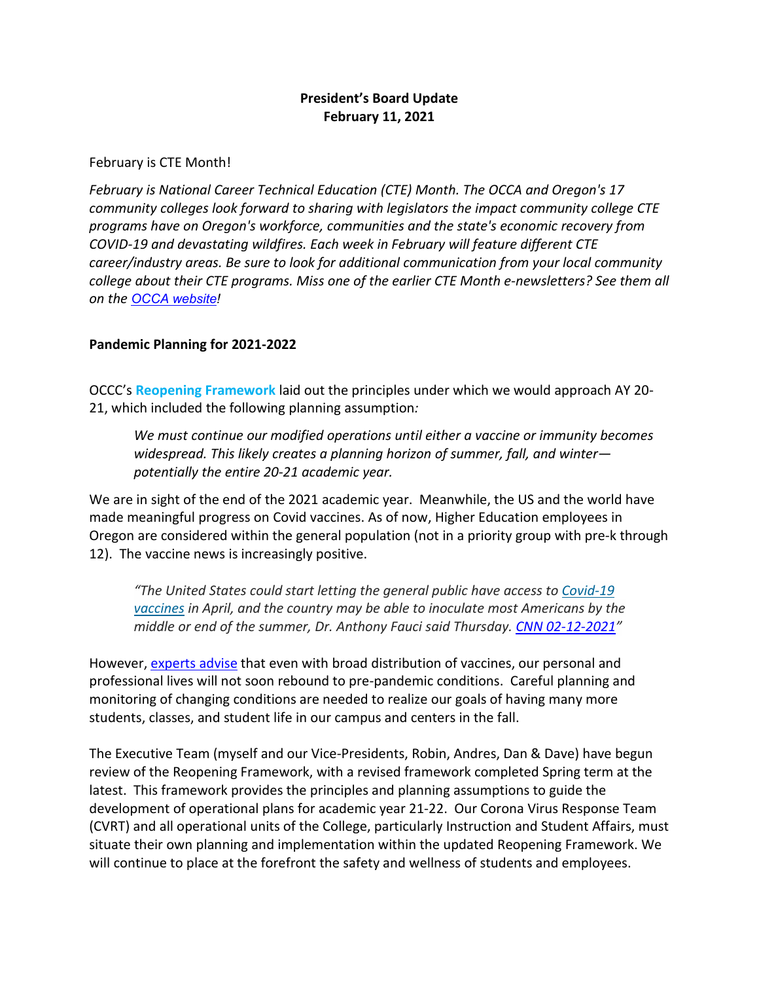# **President's Board Update February 11, 2021**

### February is CTE Month!

*February is National Career Technical Education (CTE) Month. The OCCA and Oregon's 17 community colleges look forward to sharing with legislators the impact community college CTE programs have on Oregon's workforce, communities and the state's economic recovery from COVID-19 and devastating wildfires. Each week in February will feature different CTE career/industry areas. Be sure to look for additional communication from your local community college about their CTE programs. Miss one of the earlier CTE Month e-newsletters? See them all on the [OCCA website!](https://www.votervoice.net/BroadcastLinks/mX4C9wFtV5WvSjvt0xfXLw)*

## **Pandemic Planning for 2021-2022**

OCCC's **[Reopening Framework](https://oregoncoast.edu/college-coronavirus-response-f2020/)** laid out the principles under which we would approach AY 20- 21, which included the following planning assumption*:*

*We must continue our modified operations until either a vaccine or immunity becomes widespread. This likely creates a planning horizon of summer, fall, and winter potentially the entire 20-21 academic year.* 

We are in sight of the end of the 2021 academic year. Meanwhile, the US and the world have made meaningful progress on Covid vaccines. As of now, Higher Education employees in Oregon are considered within the general population (not in a priority group with pre-k through 12). The vaccine news is increasingly positive.

*"The United States could start letting the general public have access to [Covid-19](https://www.cnn.com/world/live-news/coronavirus-pandemic-vaccine-updates-02-11-21/index.html)  [vaccines](https://www.cnn.com/world/live-news/coronavirus-pandemic-vaccine-updates-02-11-21/index.html) in April, and the country may be able to inoculate most Americans by the middle or end of the summer, Dr. Anthony Fauci said Thursday. [CNN 02-12-2021"](https://www.cnn.com/2021/02/11/health/us-coronavirus-thursday/index.html)*

However[, experts advise](https://www.huffpost.com/entry/life-after-covid-19-vaccine_l_5f2ad9c6c5b64d7a55ed7b2c) that even with broad distribution of vaccines, our personal and professional lives will not soon rebound to pre-pandemic conditions. Careful planning and monitoring of changing conditions are needed to realize our goals of having many more students, classes, and student life in our campus and centers in the fall.

The Executive Team (myself and our Vice-Presidents, Robin, Andres, Dan & Dave) have begun review of the Reopening Framework, with a revised framework completed Spring term at the latest. This framework provides the principles and planning assumptions to guide the development of operational plans for academic year 21-22. Our Corona Virus Response Team (CVRT) and all operational units of the College, particularly Instruction and Student Affairs, must situate their own planning and implementation within the updated Reopening Framework. We will continue to place at the forefront the safety and wellness of students and employees.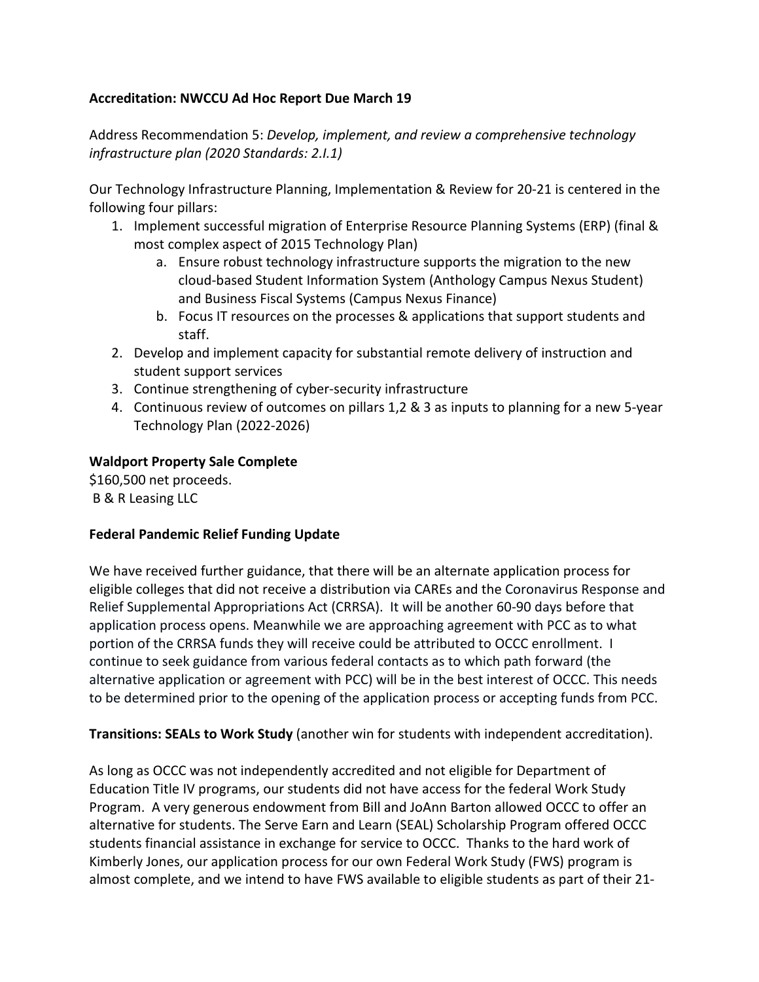## **Accreditation: NWCCU Ad Hoc Report Due March 19**

Address Recommendation 5: *Develop, implement, and review a comprehensive technology infrastructure plan (2020 Standards: 2.I.1)*

Our Technology Infrastructure Planning, Implementation & Review for 20-21 is centered in the following four pillars:

- 1. Implement successful migration of Enterprise Resource Planning Systems (ERP) (final & most complex aspect of 2015 Technology Plan)
	- a. Ensure robust technology infrastructure supports the migration to the new cloud-based Student Information System (Anthology Campus Nexus Student) and Business Fiscal Systems (Campus Nexus Finance)
	- b. Focus IT resources on the processes & applications that support students and staff.
- 2. Develop and implement capacity for substantial remote delivery of instruction and student support services
- 3. Continue strengthening of cyber-security infrastructure
- 4. Continuous review of outcomes on pillars 1,2 & 3 as inputs to planning for a new 5-year Technology Plan (2022-2026)

## **Waldport Property Sale Complete**

\$160,500 net proceeds. B & R Leasing LLC

### **Federal Pandemic Relief Funding Update**

We have received further guidance, that there will be an alternate application process for eligible colleges that did not receive a distribution via CAREs and the Coronavirus Response and Relief Supplemental Appropriations Act (CRRSA). It will be another 60-90 days before that application process opens. Meanwhile we are approaching agreement with PCC as to what portion of the CRRSA funds they will receive could be attributed to OCCC enrollment. I continue to seek guidance from various federal contacts as to which path forward (the alternative application or agreement with PCC) will be in the best interest of OCCC. This needs to be determined prior to the opening of the application process or accepting funds from PCC.

**Transitions: SEALs to Work Study** (another win for students with independent accreditation).

As long as OCCC was not independently accredited and not eligible for Department of Education Title IV programs, our students did not have access for the federal Work Study Program. A very generous endowment from Bill and JoAnn Barton allowed OCCC to offer an alternative for students. The Serve Earn and Learn (SEAL) Scholarship Program offered OCCC students financial assistance in exchange for service to OCCC. Thanks to the hard work of Kimberly Jones, our application process for our own Federal Work Study (FWS) program is almost complete, and we intend to have FWS available to eligible students as part of their 21